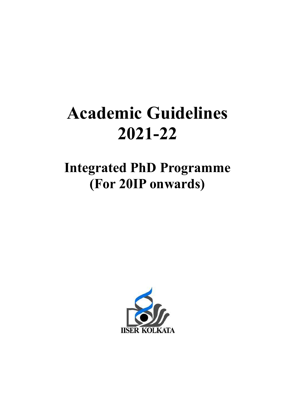# Academic Guidelines 2021-22

# Integrated PhD Programme (For For 20IP onwards)

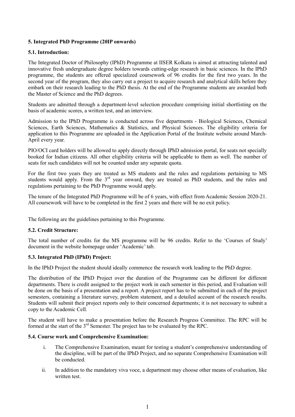# 5. Integrated PhD Programme (20IP onwards)

#### 5.1. Introduction:

The Integrated Doctor of Philosophy (IPhD) Programme at IISER Kolkata is aimed at attracting talented and innovative fresh undergraduate degree holders towards cutting-edge research in basic sciences. In the IPhD programme, the students are offered specialized coursework of 96 credits for the first two years. In the second year of the program, they also carry out a project to acquire research and analytical skills before they embark on their research leading to the PhD thesis. At the end of the Programme students are awarded both the Master of Science and the PhD degrees.

Students are admitted through a department-level selection procedure comprising initial shortlisting on the basis of academic scores, a written test, and an interview.

Admission to the IPhD Programme is conducted across five departments - Biological Sciences, Chemical Sciences, Earth Sciences, Mathematics & Statistics, and Physical Sciences. The eligibility criteria for application to this Programme are uploaded in the Application Portal of the Institute website around March-April every year.

PIO/OCI card holders will be allowed to apply directly through IPhD admission portal, for seats not specially booked for Indian citizens. All other eligibility criteria will be applicable to them as well. The number of seats for such candidates will not be counted under any separate quota.

For the first two years they are treated as MS students and the rules and regulations pertaining to MS students would apply. From the 3<sup>rd</sup> year onward, they are treated as PhD students, and the rules and regulations pertaining to the PhD Programme would apply.

The tenure of the Integrated PhD Programme will be of 6 years, with effect from Academic Session 2020-21. All coursework will have to be completed in the first 2 years and there will be no exit policy.

The following are the guidelines pertaining to this Programme.

# 5.2. Credit Structure:

The total number of credits for the MS programme will be 96 credits. Refer to the 'Courses of Study' document in the website homepage under 'Academic' tab.

#### 5.3. Integrated PhD (IPhD) Project:

In the IPhD Project the student should ideally commence the research work leading to the PhD degree.

The distribution of the IPhD Project over the duration of the Programme can be different for different departments. There is credit assigned to the project work in each semester in this period, and Evaluation will be done on the basis of a presentation and a report. A project report has to be submitted in each of the project semesters, containing a literature survey, problem statement, and a detailed account of the research results. Students will submit their project reports only to their concerned departments; it is not necessary to submit a copy to the Academic Cell.

The student will have to make a presentation before the Research Progress Committee. The RPC will be formed at the start of the 3rd Semester. The project has to be evaluated by the RPC.

#### 5.4. Course work and Comprehensive Examination:

- i. The Comprehensive Examination, meant for testing a student's comprehensive understanding of the discipline, will be part of the IPhD Project, and no separate Comprehensive Examination will be conducted.
- ii. In addition to the mandatory viva voce, a department may choose other means of evaluation, like written test.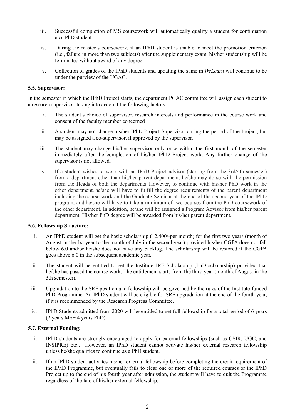- iii. Successful completion of MS coursework will automatically qualify a student for continuation as a PhD student.
- iv. During the master's coursework, if an IPhD student is unable to meet the promotion criterion (i.e., failure in more than two subjects) after the supplementary exam, his/her studentship will be terminated without award of any degree.
- v. Collection of grades of the IPhD students and updating the same in WeLearn will continue to be under the purview of the UGAC.

# 5.5. Supervisor:

In the semester in which the IPhD Project starts, the department PGAC committee will assign each student to a research supervisor, taking into account the following factors:

- i. The student's choice of supervisor, research interests and performance in the course work and consent of the faculty member concerned
- ii. A student may not change his/her IPhD Project Supervisor during the period of the Project, but may be assigned a co-supervisor, if approved by the supervisor.
- iii. The student may change his/her supervisor only once within the first month of the semester immediately after the completion of his/her IPhD Project work. Any further change of the supervisor is not allowed.
- iv. If a student wishes to work with an IPhD Project advisor (starting from the 3rd/4th semester) from a department other than his/her parent department, he/she may do so with the permission from the Heads of both the departments. However, to continue with his/her PhD work in the other department, he/she will have to fulfill the degree requirements of the parent department including the course work and the Graduate Seminar at the end of the second year of the IPhD program, and he/she will have to take a minimum of two courses from the PhD coursework of the other department. In addition, he/she will be assigned a Program Advisor from his/her parent department. His/her PhD degree will be awarded from his/her parent department.

#### 5.6. Fellowship Structure:

- i. An IPhD student will get the basic scholarship (12,400/-per month) for the first two years (month of August in the 1st year to the month of July in the second year) provided his/her CGPA does not fall below 6.0 and/or he/she does not have any backlog. The scholarship will be restored if the CGPA goes above 6.0 in the subsequent academic year.
- ii. The student will be entitled to get the Institute JRF Scholarship (PhD scholarship) provided that he/she has passed the course work. The entitlement starts from the third year (month of August in the 5th semester).
- iii. Upgradation to the SRF position and fellowship will be governed by the rules of the Institute-funded PhD Programme. An IPhD student will be eligible for SRF upgradation at the end of the fourth year, if it is recommended by the Research Progress Committee.
- iv. IPhD Students admitted from 2020 will be entitled to get full fellowship for a total period of 6 years (2 years MS+ 4 years PhD).

# 5.7. External Funding:

- i. IPhD students are strongly encouraged to apply for external fellowships (such as CSIR, UGC, and INSIPRE) etc.. However, an IPhD student cannot activate his/her external research fellowship unless he/she qualifies to continue as a PhD student.
- ii. If an IPhD student activates his/her external fellowship before completing the credit requirement of the IPhD Programme, but eventually fails to clear one or more of the required courses or the IPhD Project up to the end of his fourth year after admission, the student will have to quit the Programme regardless of the fate of his/her external fellowship.